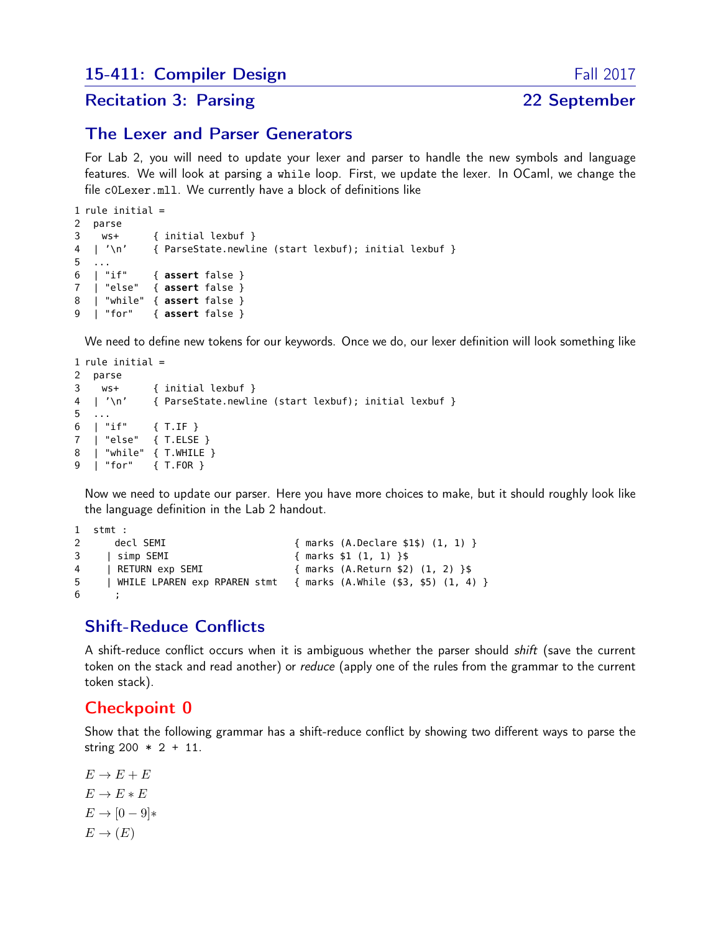#### Recitation 3: Parsing 22 September

#### The Lexer and Parser Generators

For Lab 2, you will need to update your lexer and parser to handle the new symbols and language features. We will look at parsing a while loop. First, we update the lexer. In OCaml, we change the file c0Lexer.mll. We currently have a block of definitions like

```
1 rule initial =
2 parse
3 ws+ { initial lexbuf }
4 | '\n' { ParseState.newline (start lexbuf); initial lexbuf }
5 ...<br>6 | "if"
6 | "if" { assert false }
7 | "else" { assert false }
8 | "while" { assert false }
9 | "for" { assert false }
```
We need to define new tokens for our keywords. Once we do, our lexer definition will look something like

```
1 rule initial =
2 parse
3 ws+ { initial lexbuf }
4 | '\n' { ParseState.newline (start lexbuf); initial lexbuf }
5 ...
6 | "if" { T.IF }
7 | "else" { T.ELSE }
8 | "while" { T.WHILE }
9 | "for" { T.FOR }
```
Now we need to update our parser. Here you have more choices to make, but it should roughly look like the language definition in the Lab 2 handout.

```
1 stmt :
2 decl SEMI { marks (A.Declare $1$) (1, 1) }
3 | simp SEMI { marks $1 (1, 1) }$
4 | RETURN exp SEMI { marks (A.Return $2) (1, 2) }$
5 | WHILE LPAREN exp RPAREN stmt { marks (A.While ($3, $5) (1, 4) }
6 ;
```
## Shift-Reduce Conflicts

A shift-reduce conflict occurs when it is ambiguous whether the parser should *shift* (save the current token on the stack and read another) or reduce (apply one of the rules from the grammar to the current token stack).

#### Checkpoint 0

Show that the following grammar has a shift-reduce conflict by showing two different ways to parse the string  $200 * 2 + 11$ .

 $E \rightarrow E + E$  $E \to E * E$  $E \rightarrow [0-9]*$  $E \to (E)$